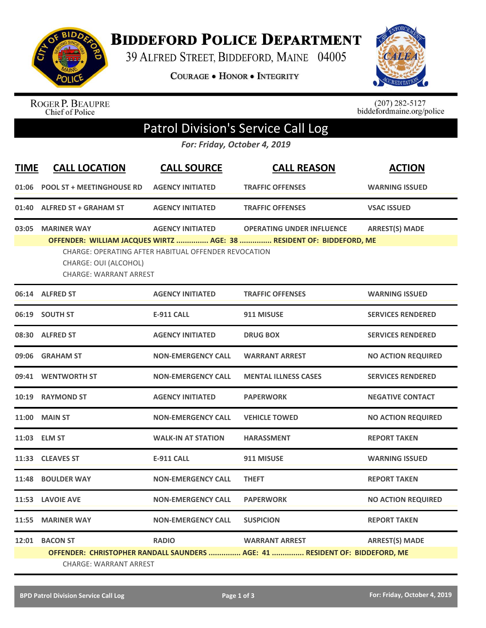

**BIDDEFORD POLICE DEPARTMENT** 

39 ALFRED STREET, BIDDEFORD, MAINE 04005

COURAGE . HONOR . INTEGRITY



ROGER P. BEAUPRE<br>Chief of Police

 $(207)$  282-5127<br>biddefordmaine.org/police

## Patrol Division's Service Call Log

*For: Friday, October 4, 2019*

| <b>TIME</b> | <b>CALL LOCATION</b>                                                         | <b>CALL SOURCE</b>                                                              | <b>CALL REASON</b>                                                                                       | <b>ACTION</b>             |  |  |
|-------------|------------------------------------------------------------------------------|---------------------------------------------------------------------------------|----------------------------------------------------------------------------------------------------------|---------------------------|--|--|
| 01:06       | <b>POOL ST + MEETINGHOUSE RD</b>                                             | <b>AGENCY INITIATED</b>                                                         | <b>TRAFFIC OFFENSES</b>                                                                                  | <b>WARNING ISSUED</b>     |  |  |
| 01:40       | <b>ALFRED ST + GRAHAM ST</b>                                                 | <b>AGENCY INITIATED</b>                                                         | <b>TRAFFIC OFFENSES</b>                                                                                  | <b>VSAC ISSUED</b>        |  |  |
| 03:05       | <b>MARINER WAY</b><br>CHARGE: OUI (ALCOHOL)<br><b>CHARGE: WARRANT ARREST</b> | <b>AGENCY INITIATED</b><br>CHARGE: OPERATING AFTER HABITUAL OFFENDER REVOCATION | <b>OPERATING UNDER INFLUENCE</b><br>OFFENDER: WILLIAM JACQUES WIRTZ  AGE: 38  RESIDENT OF: BIDDEFORD, ME | <b>ARREST(S) MADE</b>     |  |  |
|             | 06:14 ALFRED ST                                                              | <b>AGENCY INITIATED</b>                                                         | <b>TRAFFIC OFFENSES</b>                                                                                  | <b>WARNING ISSUED</b>     |  |  |
|             | 06:19 SOUTH ST                                                               | <b>E-911 CALL</b>                                                               | 911 MISUSE                                                                                               | <b>SERVICES RENDERED</b>  |  |  |
| 08:30       | <b>ALFRED ST</b>                                                             | <b>AGENCY INITIATED</b>                                                         | <b>DRUG BOX</b>                                                                                          | <b>SERVICES RENDERED</b>  |  |  |
| 09:06       | <b>GRAHAM ST</b>                                                             | <b>NON-EMERGENCY CALL</b>                                                       | <b>WARRANT ARREST</b>                                                                                    | <b>NO ACTION REQUIRED</b> |  |  |
|             | 09:41 WENTWORTH ST                                                           | <b>NON-EMERGENCY CALL</b>                                                       | <b>MENTAL ILLNESS CASES</b>                                                                              | <b>SERVICES RENDERED</b>  |  |  |
| 10:19       | <b>RAYMOND ST</b>                                                            | <b>AGENCY INITIATED</b>                                                         | <b>PAPERWORK</b>                                                                                         | <b>NEGATIVE CONTACT</b>   |  |  |
| 11:00       | <b>MAIN ST</b>                                                               | <b>NON-EMERGENCY CALL</b>                                                       | <b>VEHICLE TOWED</b>                                                                                     | <b>NO ACTION REQUIRED</b> |  |  |
|             | 11:03 ELM ST                                                                 | <b>WALK-IN AT STATION</b>                                                       | <b>HARASSMENT</b>                                                                                        | <b>REPORT TAKEN</b>       |  |  |
|             | 11:33 CLEAVES ST                                                             | <b>E-911 CALL</b>                                                               | 911 MISUSE                                                                                               | <b>WARNING ISSUED</b>     |  |  |
| 11:48       | <b>BOULDER WAY</b>                                                           | <b>NON-EMERGENCY CALL</b>                                                       | <b>THEFT</b>                                                                                             | <b>REPORT TAKEN</b>       |  |  |
|             | 11:53 LAVOIE AVE                                                             | <b>NON-EMERGENCY CALL</b>                                                       | <b>PAPERWORK</b>                                                                                         | <b>NO ACTION REQUIRED</b> |  |  |
| 11:55       | <b>MARINER WAY</b>                                                           | <b>NON-EMERGENCY CALL</b>                                                       | <b>SUSPICION</b>                                                                                         | <b>REPORT TAKEN</b>       |  |  |
|             | 12:01 BACON ST                                                               | <b>RADIO</b>                                                                    | <b>WARRANT ARREST</b><br>OFFENDER: CHRISTOPHER RANDALL SAUNDERS  AGE: 41  RESIDENT OF: BIDDEFORD, ME     | <b>ARREST(S) MADE</b>     |  |  |
|             | <b>CHARGE: WARRANT ARREST</b>                                                |                                                                                 |                                                                                                          |                           |  |  |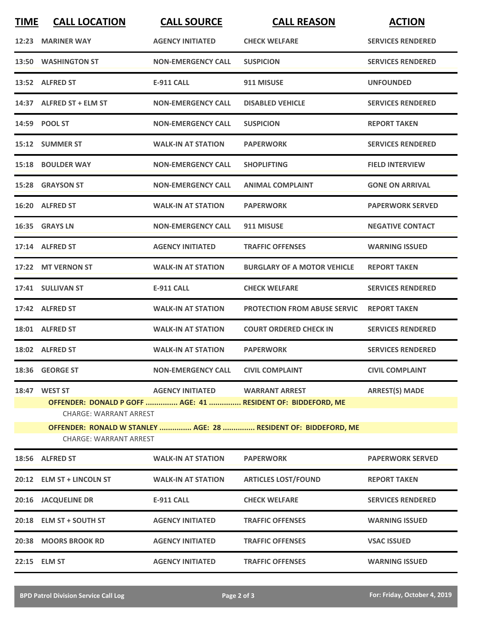| <b>TIME</b>                                                                                      | <b>CALL LOCATION</b>                           | <b>CALL SOURCE</b>                 | <b>CALL REASON</b>                                           | <b>ACTION</b>            |  |  |  |
|--------------------------------------------------------------------------------------------------|------------------------------------------------|------------------------------------|--------------------------------------------------------------|--------------------------|--|--|--|
|                                                                                                  | 12:23 MARINER WAY                              | <b>AGENCY INITIATED</b>            | <b>CHECK WELFARE</b>                                         | <b>SERVICES RENDERED</b> |  |  |  |
|                                                                                                  | 13:50 WASHINGTON ST                            | <b>NON-EMERGENCY CALL</b>          | <b>SUSPICION</b>                                             | <b>SERVICES RENDERED</b> |  |  |  |
|                                                                                                  | 13:52 ALFRED ST                                | <b>E-911 CALL</b>                  | 911 MISUSE                                                   | <b>UNFOUNDED</b>         |  |  |  |
|                                                                                                  | 14:37 ALFRED ST + ELM ST                       | <b>NON-EMERGENCY CALL</b>          | <b>DISABLED VEHICLE</b>                                      | <b>SERVICES RENDERED</b> |  |  |  |
|                                                                                                  | 14:59 POOL ST                                  | <b>NON-EMERGENCY CALL</b>          | <b>SUSPICION</b>                                             | <b>REPORT TAKEN</b>      |  |  |  |
|                                                                                                  | 15:12 SUMMER ST                                | <b>WALK-IN AT STATION</b>          | <b>PAPERWORK</b>                                             | <b>SERVICES RENDERED</b> |  |  |  |
|                                                                                                  | 15:18 BOULDER WAY                              | <b>NON-EMERGENCY CALL</b>          | <b>SHOPLIFTING</b>                                           | <b>FIELD INTERVIEW</b>   |  |  |  |
|                                                                                                  | 15:28 GRAYSON ST                               | <b>NON-EMERGENCY CALL</b>          | <b>ANIMAL COMPLAINT</b>                                      | <b>GONE ON ARRIVAL</b>   |  |  |  |
|                                                                                                  | 16:20 ALFRED ST                                | <b>WALK-IN AT STATION</b>          | <b>PAPERWORK</b>                                             | <b>PAPERWORK SERVED</b>  |  |  |  |
|                                                                                                  | 16:35 GRAYS LN                                 | <b>NON-EMERGENCY CALL</b>          | 911 MISUSE                                                   | <b>NEGATIVE CONTACT</b>  |  |  |  |
|                                                                                                  | 17:14 ALFRED ST                                | <b>AGENCY INITIATED</b>            | <b>TRAFFIC OFFENSES</b>                                      | <b>WARNING ISSUED</b>    |  |  |  |
|                                                                                                  | 17:22 MT VERNON ST                             | <b>WALK-IN AT STATION</b>          | <b>BURGLARY OF A MOTOR VEHICLE</b>                           | <b>REPORT TAKEN</b>      |  |  |  |
|                                                                                                  | 17:41 SULLIVAN ST                              | <b>E-911 CALL</b>                  | <b>CHECK WELFARE</b>                                         | <b>SERVICES RENDERED</b> |  |  |  |
|                                                                                                  | 17:42 ALFRED ST                                | <b>WALK-IN AT STATION</b>          | <b>PROTECTION FROM ABUSE SERVIC</b>                          | <b>REPORT TAKEN</b>      |  |  |  |
|                                                                                                  | 18:01 ALFRED ST                                | <b>WALK-IN AT STATION</b>          | <b>COURT ORDERED CHECK IN</b>                                | <b>SERVICES RENDERED</b> |  |  |  |
|                                                                                                  | 18:02 ALFRED ST                                | <b>WALK-IN AT STATION</b>          | <b>PAPERWORK</b>                                             | <b>SERVICES RENDERED</b> |  |  |  |
|                                                                                                  | 18:36 GEORGE ST                                | NON-EMERGENCY CALL CIVIL COMPLAINT |                                                              | <b>CIVIL COMPLAINT</b>   |  |  |  |
|                                                                                                  | 18:47 WEST ST<br><b>CHARGE: WARRANT ARREST</b> | AGENCY INITIATED WARRANT ARREST    | OFFENDER: DONALD P GOFF  AGE: 41  RESIDENT OF: BIDDEFORD, ME | <b>ARREST(S) MADE</b>    |  |  |  |
| OFFENDER: RONALD W STANLEY  AGE: 28  RESIDENT OF: BIDDEFORD, ME<br><b>CHARGE: WARRANT ARREST</b> |                                                |                                    |                                                              |                          |  |  |  |
|                                                                                                  | 18:56 ALFRED ST                                | <b>WALK-IN AT STATION</b>          | <b>PAPERWORK</b>                                             | <b>PAPERWORK SERVED</b>  |  |  |  |
|                                                                                                  | 20:12 ELM ST + LINCOLN ST                      | <b>WALK-IN AT STATION</b>          | <b>ARTICLES LOST/FOUND</b>                                   | <b>REPORT TAKEN</b>      |  |  |  |
|                                                                                                  | 20:16 JACQUELINE DR                            | <b>E-911 CALL</b>                  | <b>CHECK WELFARE</b>                                         | <b>SERVICES RENDERED</b> |  |  |  |
|                                                                                                  | 20:18 ELM ST + SOUTH ST                        | <b>AGENCY INITIATED</b>            | <b>TRAFFIC OFFENSES</b>                                      | <b>WARNING ISSUED</b>    |  |  |  |
|                                                                                                  | 20:38 MOORS BROOK RD                           | <b>AGENCY INITIATED</b>            | <b>TRAFFIC OFFENSES</b>                                      | <b>VSAC ISSUED</b>       |  |  |  |
|                                                                                                  | 22:15 ELM ST                                   | <b>AGENCY INITIATED</b>            | <b>TRAFFIC OFFENSES</b>                                      | <b>WARNING ISSUED</b>    |  |  |  |